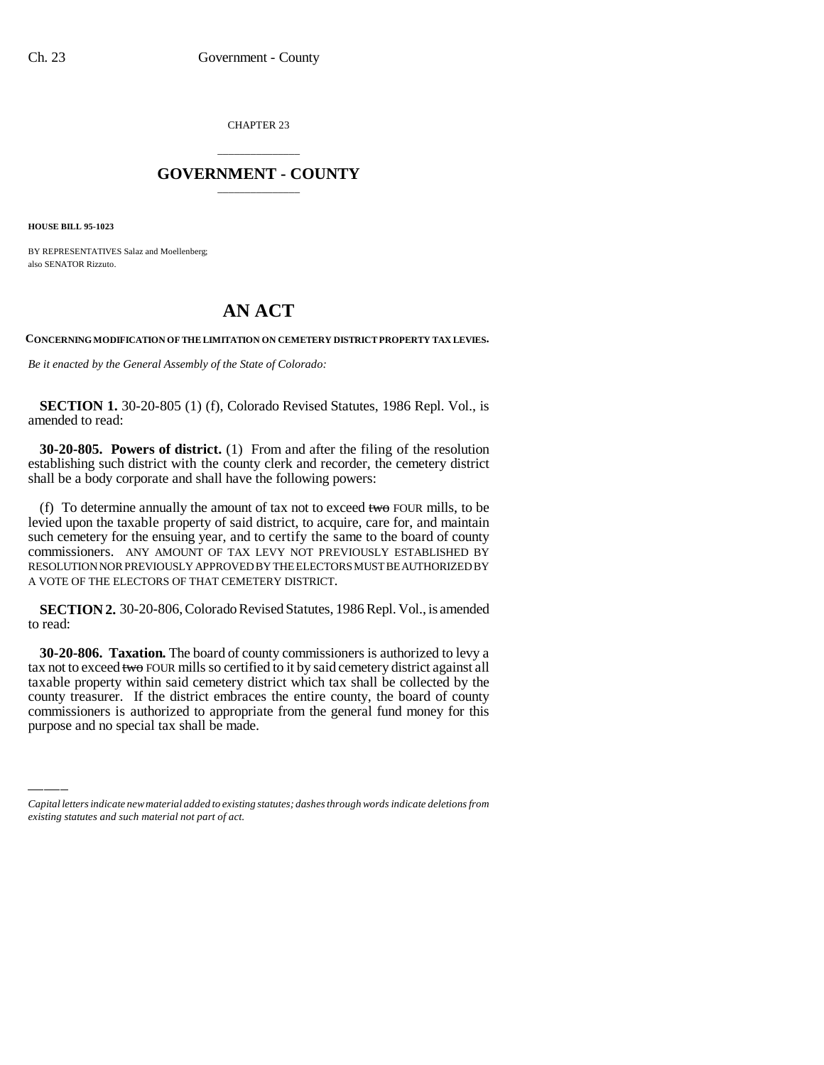CHAPTER 23

## \_\_\_\_\_\_\_\_\_\_\_\_\_\_\_ **GOVERNMENT - COUNTY** \_\_\_\_\_\_\_\_\_\_\_\_\_\_\_

**HOUSE BILL 95-1023**

BY REPRESENTATIVES Salaz and Moellenberg; also SENATOR Rizzuto.

## **AN ACT**

**CONCERNING MODIFICATION OF THE LIMITATION ON CEMETERY DISTRICT PROPERTY TAX LEVIES.**

*Be it enacted by the General Assembly of the State of Colorado:*

**SECTION 1.** 30-20-805 (1) (f), Colorado Revised Statutes, 1986 Repl. Vol., is amended to read:

**30-20-805. Powers of district.** (1) From and after the filing of the resolution establishing such district with the county clerk and recorder, the cemetery district shall be a body corporate and shall have the following powers:

(f) To determine annually the amount of tax not to exceed two FOUR mills, to be levied upon the taxable property of said district, to acquire, care for, and maintain such cemetery for the ensuing year, and to certify the same to the board of county commissioners. ANY AMOUNT OF TAX LEVY NOT PREVIOUSLY ESTABLISHED BY RESOLUTION NOR PREVIOUSLY APPROVED BY THE ELECTORS MUST BE AUTHORIZED BY A VOTE OF THE ELECTORS OF THAT CEMETERY DISTRICT.

**SECTION 2.** 30-20-806, Colorado Revised Statutes, 1986 Repl. Vol., is amended to read:

taxable property within said cemetery district which tax shall be collected by the **30-20-806. Taxation.** The board of county commissioners is authorized to levy a tax not to exceed two FOUR mills so certified to it by said cemetery district against all county treasurer. If the district embraces the entire county, the board of county commissioners is authorized to appropriate from the general fund money for this purpose and no special tax shall be made.

*Capital letters indicate new material added to existing statutes; dashes through words indicate deletions from existing statutes and such material not part of act.*